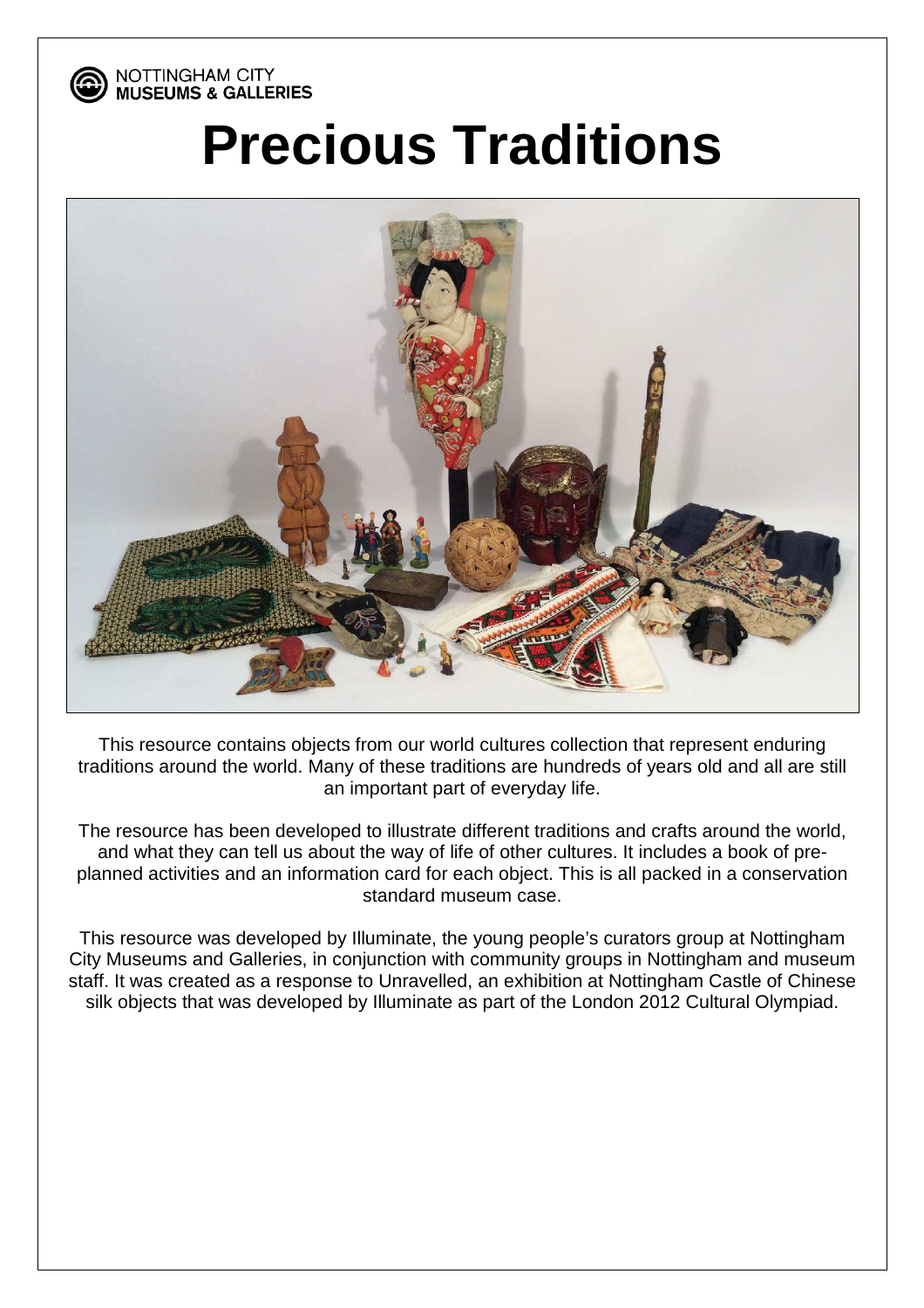

NOTTINGHAM CITY **MUSEUMS & GALLERIES** 

## **Precious Traditions**



This resource contains objects from our world cultures collection that represent enduring traditions around the world. Many of these traditions are hundreds of years old and all are still an important part of everyday life.

The resource has been developed to illustrate different traditions and crafts around the world, and what they can tell us about the way of life of other cultures. It includes a book of preplanned activities and an information card for each object. This is all packed in a conservation standard museum case.

This resource was developed by Illuminate, the young people's curators group at Nottingham City Museums and Galleries, in conjunction with community groups in Nottingham and museum staff. It was created as a response to Unravelled, an exhibition at Nottingham Castle of Chinese silk objects that was developed by Illuminate as part of the London 2012 Cultural Olympiad.